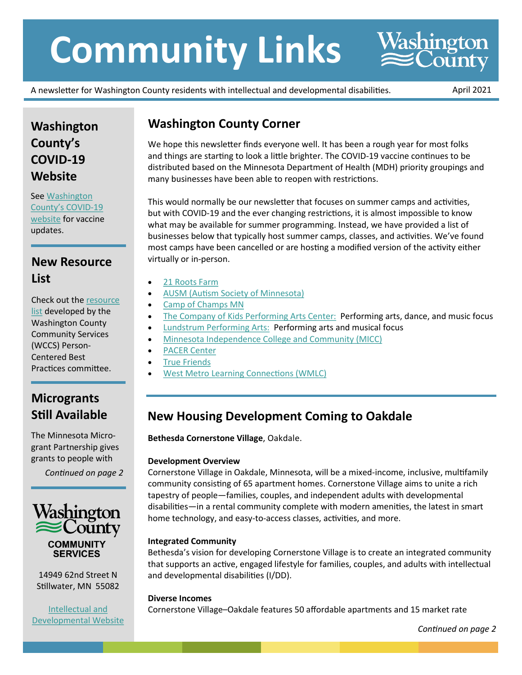# **Community Links**

A newsletter for Washington County residents with intellectual and developmental disabilities. April 2021

Washington<br>
ECounty

## **Washington County's COVID-19 Website**

See [Washington](https://www.co.washington.mn.us/3168/COVID-19)  [County's COVID](https://www.co.washington.mn.us/3168/COVID-19)-19 [website](https://www.co.washington.mn.us/3168/COVID-19) for vaccine updates.

## **New Resource List**

Check out the [resource](https://www.co.washington.mn.us/DocumentCenter/View/24400/Resource-List)  [list](https://www.co.washington.mn.us/DocumentCenter/View/24400/Resource-List) developed by the Washington County Community Services (WCCS) Person-Centered Best Practices committee.

## **Microgrants Still Available**

The Minnesota Microgrant Partnership gives grants to people with

*Continued on page 2*



14949 62nd Street N Stillwater, MN 55082

[Intellectual and](https://www.co.washington.mn.us/783/Intellectual-and-Developmental)  [Developmental Website](https://www.co.washington.mn.us/783/Intellectual-and-Developmental)

## **Washington County Corner**

We hope this newsletter finds everyone well. It has been a rough year for most folks and things are starting to look a little brighter. The COVID-19 vaccine continues to be distributed based on the Minnesota Department of Health (MDH) priority groupings and many businesses have been able to reopen with restrictions.

This would normally be our newsletter that focuses on summer camps and activities, but with COVID-19 and the ever changing restrictions, it is almost impossible to know what may be available for summer programming. Instead, we have provided a list of businesses below that typically host summer camps, classes, and activities. We've found most camps have been cancelled or are hosting a modified version of the activity either virtually or in-person.

- [21 Roots Farm](https://www.21rootsfarm.org/)
- [AUSM \(Autism Society of Minnesota\)](https://ausm.org/)
- [Camp of Champs MN](https://www.campofchampsmn.com/)
- [The Company of Kids Performing Arts Center:](http://www.cokartscenter.com/) Performing arts, dance, and music focus
- [Lundstrum Performing Arts:](https://lundstrum.org/summer-classes-and-intensives) Performing arts and musical focus
- [Minnesota Independence College and Community \(MICC\)](https://www.miccommunity.org/summer.html)
- [PACER Center](https://www.pacer.org/students/recreation-and-sports.asp)
- [True Friends](https://truefriends.org/)
- [West Metro Learning Connections \(WMLC\)](http://wmlc.biz/our-services/summer/therapeutic-recreation/camp-connections/)

## **New Housing Development Coming to Oakdale**

**Bethesda Cornerstone Village**, Oakdale.

#### **Development Overview**

Cornerstone Village in Oakdale, Minnesota, will be a mixed-income, inclusive, multifamily community consisting of 65 apartment homes. Cornerstone Village aims to unite a rich tapestry of people—families, couples, and independent adults with developmental disabilities—in a rental community complete with modern amenities, the latest in smart home technology, and easy-to-access classes, activities, and more.

#### **Integrated Community**

Bethesda's vision for developing Cornerstone Village is to create an integrated community that supports an active, engaged lifestyle for families, couples, and adults with intellectual and developmental disabilities (I/DD).

#### **Diverse Incomes**

Cornerstone Village–Oakdale features 50 affordable apartments and 15 market rate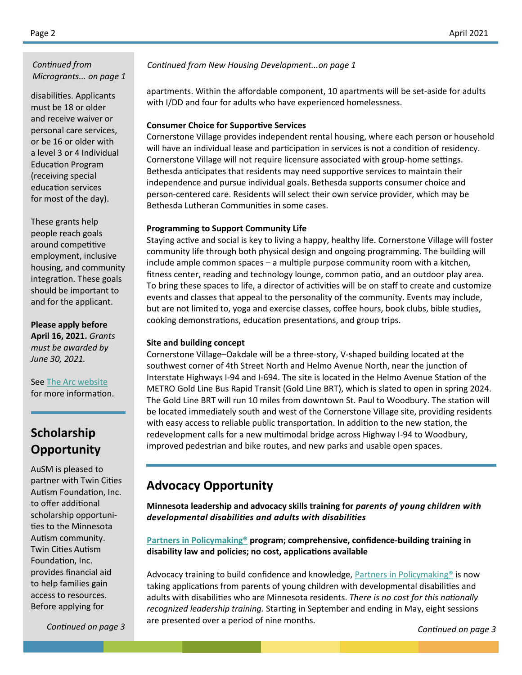*Continued from Microgrants... on page 1*

disabilities. Applicants must be 18 or older and receive waiver or personal care services, or be 16 or older with a level 3 or 4 Individual Education Program (receiving special education services for most of the day).

These grants help people reach goals around competitive employment, inclusive housing, and community integration. These goals should be important to and for the applicant.

**Please apply before April 16, 2021.** *Grants must be awarded by June 30, 2021.*

See [The Arc website](https://arcminnesota.org/ways-we-can-help/scholarships-microgrants/minnesota-microgrant-partnership/) for more information.

### **Scholarship Opportunity**

AuSM is pleased to partner with Twin Cities Autism Foundation, Inc. to offer additional scholarship opportunities to the Minnesota Autism community. Twin Cities Autism Foundation, Inc. provides financial aid to help families gain access to resources. Before applying for

*Continued from New Housing Development...on page 1*

apartments. Within the affordable component, 10 apartments will be set-aside for adults with I/DD and four for adults who have experienced homelessness.

#### **Consumer Choice for Supportive Services**

Cornerstone Village provides independent rental housing, where each person or household will have an individual lease and participation in services is not a condition of residency. Cornerstone Village will not require licensure associated with group-home settings. Bethesda anticipates that residents may need supportive services to maintain their independence and pursue individual goals. Bethesda supports consumer choice and person-centered care. Residents will select their own service provider, which may be Bethesda Lutheran Communities in some cases.

#### **Programming to Support Community Life**

Staying active and social is key to living a happy, healthy life. Cornerstone Village will foster community life through both physical design and ongoing programming. The building will include ample common spaces – a multiple purpose community room with a kitchen, fitness center, reading and technology lounge, common patio, and an outdoor play area. To bring these spaces to life, a director of activities will be on staff to create and customize events and classes that appeal to the personality of the community. Events may include, but are not limited to, yoga and exercise classes, coffee hours, book clubs, bible studies, cooking demonstrations, education presentations, and group trips.

#### **Site and building concept**

Cornerstone Village–Oakdale will be a three-story, V-shaped building located at the southwest corner of 4th Street North and Helmo Avenue North, near the junction of Interstate Highways I-94 and I-694. The site is located in the Helmo Avenue Station of the METRO Gold Line Bus Rapid Transit (Gold Line BRT), which is slated to open in spring 2024. The Gold Line BRT will run 10 miles from downtown St. Paul to Woodbury. The station will be located immediately south and west of the Cornerstone Village site, providing residents with easy access to reliable public transportation. In addition to the new station, the redevelopment calls for a new multimodal bridge across Highway I-94 to Woodbury, improved pedestrian and bike routes, and new parks and usable open spaces.

#### **Advocacy Opportunity**

**Minnesota leadership and advocacy skills training for** *parents of young children with developmental disabilities and adults with disabilities*

**[Partners in Policymaking®](http://mn.gov/mnddc/partnersinpolicymaking/class38/index.html) program; comprehensive, confidence-building training in disability law and policies; no cost, applications available** 

Advocacy training to build confidence and knowledge, **Partners in Policymaking®** is now taking applications from parents of young children with developmental disabilities and adults with disabilities who are Minnesota residents. *There is no cost for this nationally recognized leadership training.* Starting in September and ending in May, eight sessions are presented over a period of nine months.

*Continued on page 3*

*Continued on page 3*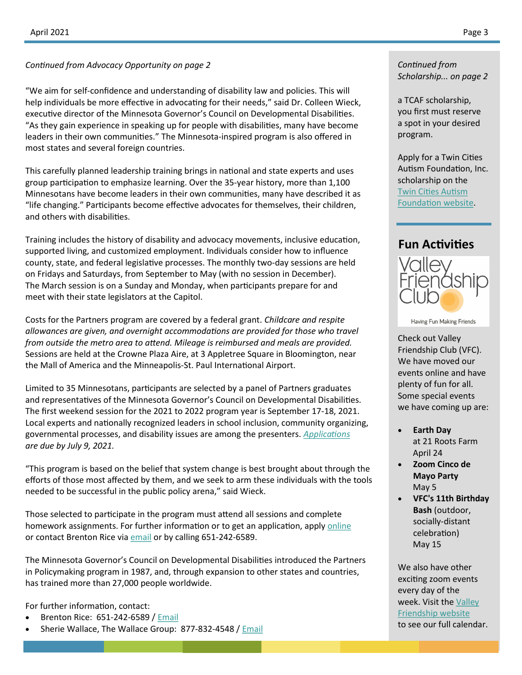*Continued from Advocacy Opportunity on page 2 Continued from*

"We aim for self-confidence and understanding of disability law and policies. This will help individuals be more effective in advocating for their needs," said Dr. Colleen Wieck, executive director of the Minnesota Governor's Council on Developmental Disabilities. "As they gain experience in speaking up for people with disabilities, many have become leaders in their own communities." The Minnesota-inspired program is also offered in most states and several foreign countries.

This carefully planned leadership training brings in national and state experts and uses group participation to emphasize learning. Over the 35-year history, more than 1,100 Minnesotans have become leaders in their own communities, many have described it as "life changing." Participants become effective advocates for themselves, their children, and others with disabilities.

Training includes the history of disability and advocacy movements, inclusive education, supported living, and customized employment. Individuals consider how to influence county, state, and federal legislative processes. The monthly two-day sessions are held on Fridays and Saturdays, from September to May (with no session in December). The March session is on a Sunday and Monday, when participants prepare for and meet with their state legislators at the Capitol.

Costs for the Partners program are covered by a federal grant. *Childcare and respite allowances are given, and overnight accommodations are provided for those who travel from outside the metro area to attend. Mileage is reimbursed and meals are provided.*  Sessions are held at the Crowne Plaza Aire, at 3 Appletree Square in Bloomington, near the Mall of America and the Minneapolis-St. Paul International Airport.

Limited to 35 Minnesotans, participants are selected by a panel of Partners graduates and representatives of the Minnesota Governor's Council on Developmental Disabilities. The first weekend session for the 2021 to 2022 program year is September 17-18, 2021. Local experts and nationally recognized leaders in school inclusion, community organizing, governmental processes, and disability issues are among the presenters. *[Applications](https://mn.gov/mnddc/partnersinpolicymaking/class39/index.html) are due by July 9, 2021.*

"This program is based on the belief that system change is best brought about through the efforts of those most affected by them, and we seek to arm these individuals with the tools needed to be successful in the public policy arena," said Wieck.

Those selected to participate in the program must attend all sessions and complete homework assignments. For further information or to get an application, apply [online](http://mn.gov/mnddc/pipm/) or contact Brenton Rice via [email](mailto:brenton@togevents.com) or by calling 651-242-6589.

The Minnesota Governor's Council on Developmental Disabilities introduced the Partners in Policymaking program in 1987, and, through expansion to other states and countries, has trained more than 27,000 people worldwide.

For further information, contact:

- Brenton Rice: 651-242-6589 / [Email](mailto:brenton@togevents.com)
- Sherie Wallace, The Wallace Group: 877-832-4548 / [Email](mailto:sherie@wallacegroup.com)

## *Scholarship... on page 2*

a TCAF scholarship, you first must reserve a spot in your desired program.

Apply for a Twin Cities Autism Foundation, Inc. scholarship on the [Twin Cities Autism](https://www.tcautism.com/scholarship-app)  [Foundation website.](https://www.tcautism.com/scholarship-app)

#### **Fun Activities**



Having Fun Making Friends

Check out Valley Friendship Club (VFC). We have moved our events online and have plenty of fun for all. Some special events we have coming up are:

- **Earth Day** at 21 Roots Farm April 24
- **Zoom Cinco de Mayo Party** May 5
- **VFC's 11th Birthday Bash** (outdoor, socially-distant celebration) May 15

We also have other exciting zoom events every day of the week. Visit the [Valley](https://www.valleyfriendshipclub.org/events/)  [Friendship website](https://www.valleyfriendshipclub.org/events/) to see our full calendar.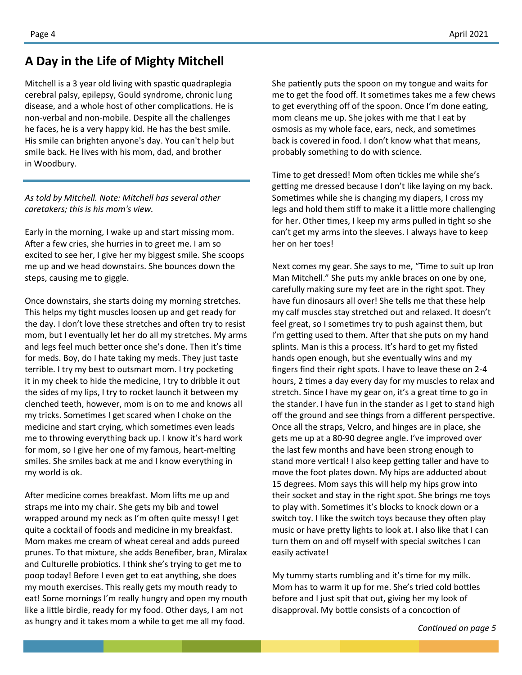#### **A Day in the Life of Mighty Mitchell**

Mitchell is a 3 year old living with spastic quadraplegia cerebral palsy, epilepsy, Gould syndrome, chronic lung disease, and a whole host of other complications. He is non-verbal and non-mobile. Despite all the challenges he faces, he is a very happy kid. He has the best smile. His smile can brighten anyone's day. You can't help but smile back. He lives with his mom, dad, and brother in Woodbury.

#### *As told by Mitchell. Note: Mitchell has several other caretakers; this is his mom's view.*

Early in the morning, I wake up and start missing mom. After a few cries, she hurries in to greet me. I am so excited to see her, I give her my biggest smile. She scoops me up and we head downstairs. She bounces down the steps, causing me to giggle.

Once downstairs, she starts doing my morning stretches. This helps my tight muscles loosen up and get ready for the day. I don't love these stretches and often try to resist mom, but I eventually let her do all my stretches. My arms and legs feel much better once she's done. Then it's time for meds. Boy, do I hate taking my meds. They just taste terrible. I try my best to outsmart mom. I try pocketing it in my cheek to hide the medicine, I try to dribble it out the sides of my lips, I try to rocket launch it between my clenched teeth, however, mom is on to me and knows all my tricks. Sometimes I get scared when I choke on the medicine and start crying, which sometimes even leads me to throwing everything back up. I know it's hard work for mom, so I give her one of my famous, heart-melting smiles. She smiles back at me and I know everything in my world is ok.

After medicine comes breakfast. Mom lifts me up and straps me into my chair. She gets my bib and towel wrapped around my neck as I'm often quite messy! I get quite a cocktail of foods and medicine in my breakfast. Mom makes me cream of wheat cereal and adds pureed prunes. To that mixture, she adds Benefiber, bran, Miralax and Culturelle probiotics. I think she's trying to get me to poop today! Before I even get to eat anything, she does my mouth exercises. This really gets my mouth ready to eat! Some mornings I'm really hungry and open my mouth like a little birdie, ready for my food. Other days, I am not as hungry and it takes mom a while to get me all my food.

She patiently puts the spoon on my tongue and waits for me to get the food off. It sometimes takes me a few chews to get everything off of the spoon. Once I'm done eating, mom cleans me up. She jokes with me that I eat by osmosis as my whole face, ears, neck, and sometimes back is covered in food. I don't know what that means, probably something to do with science.

Time to get dressed! Mom often tickles me while she's getting me dressed because I don't like laying on my back. Sometimes while she is changing my diapers, I cross my legs and hold them stiff to make it a little more challenging for her. Other times, I keep my arms pulled in tight so she can't get my arms into the sleeves. I always have to keep her on her toes!

Next comes my gear. She says to me, "Time to suit up Iron Man Mitchell." She puts my ankle braces on one by one, carefully making sure my feet are in the right spot. They have fun dinosaurs all over! She tells me that these help my calf muscles stay stretched out and relaxed. It doesn't feel great, so I sometimes try to push against them, but I'm getting used to them. After that she puts on my hand splints. Man is this a process. It's hard to get my fisted hands open enough, but she eventually wins and my fingers find their right spots. I have to leave these on 2-4 hours, 2 times a day every day for my muscles to relax and stretch. Since I have my gear on, it's a great time to go in the stander. I have fun in the stander as I get to stand high off the ground and see things from a different perspective. Once all the straps, Velcro, and hinges are in place, she gets me up at a 80-90 degree angle. I've improved over the last few months and have been strong enough to stand more vertical! I also keep getting taller and have to move the foot plates down. My hips are adducted about 15 degrees. Mom says this will help my hips grow into their socket and stay in the right spot. She brings me toys to play with. Sometimes it's blocks to knock down or a switch toy. I like the switch toys because they often play music or have pretty lights to look at. I also like that I can turn them on and off myself with special switches I can easily activate!

My tummy starts rumbling and it's time for my milk. Mom has to warm it up for me. She's tried cold bottles before and I just spit that out, giving her my look of disapproval. My bottle consists of a concoction of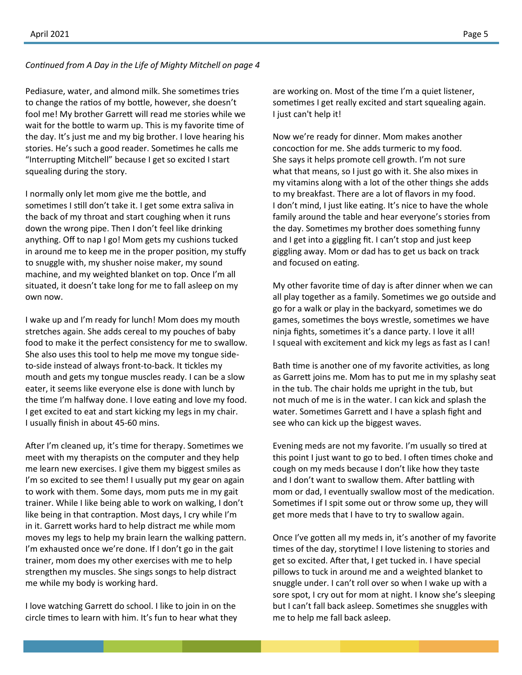#### *Continued from A Day in the Life of Mighty Mitchell on page 4*

Pediasure, water, and almond milk. She sometimes tries to change the ratios of my bottle, however, she doesn't fool me! My brother Garrett will read me stories while we wait for the bottle to warm up. This is my favorite time of the day. It's just me and my big brother. I love hearing his stories. He's such a good reader. Sometimes he calls me "Interrupting Mitchell" because I get so excited I start squealing during the story.

I normally only let mom give me the bottle, and sometimes I still don't take it. I get some extra saliva in the back of my throat and start coughing when it runs down the wrong pipe. Then I don't feel like drinking anything. Off to nap I go! Mom gets my cushions tucked in around me to keep me in the proper position, my stuffy to snuggle with, my shusher noise maker, my sound machine, and my weighted blanket on top. Once I'm all situated, it doesn't take long for me to fall asleep on my own now.

I wake up and I'm ready for lunch! Mom does my mouth stretches again. She adds cereal to my pouches of baby food to make it the perfect consistency for me to swallow. She also uses this tool to help me move my tongue sideto-side instead of always front-to-back. It tickles my mouth and gets my tongue muscles ready. I can be a slow eater, it seems like everyone else is done with lunch by the time I'm halfway done. I love eating and love my food. I get excited to eat and start kicking my legs in my chair. I usually finish in about 45-60 mins.

After I'm cleaned up, it's time for therapy. Sometimes we meet with my therapists on the computer and they help me learn new exercises. I give them my biggest smiles as I'm so excited to see them! I usually put my gear on again to work with them. Some days, mom puts me in my gait trainer. While I like being able to work on walking, I don't like being in that contraption. Most days, I cry while I'm in it. Garrett works hard to help distract me while mom moves my legs to help my brain learn the walking pattern. I'm exhausted once we're done. If I don't go in the gait trainer, mom does my other exercises with me to help strengthen my muscles. She sings songs to help distract me while my body is working hard.

I love watching Garrett do school. I like to join in on the circle times to learn with him. It's fun to hear what they are working on. Most of the time I'm a quiet listener, sometimes I get really excited and start squealing again. I just can't help it!

Now we're ready for dinner. Mom makes another concoction for me. She adds turmeric to my food. She says it helps promote cell growth. I'm not sure what that means, so I just go with it. She also mixes in my vitamins along with a lot of the other things she adds to my breakfast. There are a lot of flavors in my food. I don't mind, I just like eating. It's nice to have the whole family around the table and hear everyone's stories from the day. Sometimes my brother does something funny and I get into a giggling fit. I can't stop and just keep giggling away. Mom or dad has to get us back on track and focused on eating.

My other favorite time of day is after dinner when we can all play together as a family. Sometimes we go outside and go for a walk or play in the backyard, sometimes we do games, sometimes the boys wrestle, sometimes we have ninja fights, sometimes it's a dance party. I love it all! I squeal with excitement and kick my legs as fast as I can!

Bath time is another one of my favorite activities, as long as Garrett joins me. Mom has to put me in my splashy seat in the tub. The chair holds me upright in the tub, but not much of me is in the water. I can kick and splash the water. Sometimes Garrett and I have a splash fight and see who can kick up the biggest waves.

Evening meds are not my favorite. I'm usually so tired at this point I just want to go to bed. I often times choke and cough on my meds because I don't like how they taste and I don't want to swallow them. After battling with mom or dad, I eventually swallow most of the medication. Sometimes if I spit some out or throw some up, they will get more meds that I have to try to swallow again.

Once I've gotten all my meds in, it's another of my favorite times of the day, storytime! I love listening to stories and get so excited. After that, I get tucked in. I have special pillows to tuck in around me and a weighted blanket to snuggle under. I can't roll over so when I wake up with a sore spot, I cry out for mom at night. I know she's sleeping but I can't fall back asleep. Sometimes she snuggles with me to help me fall back asleep.